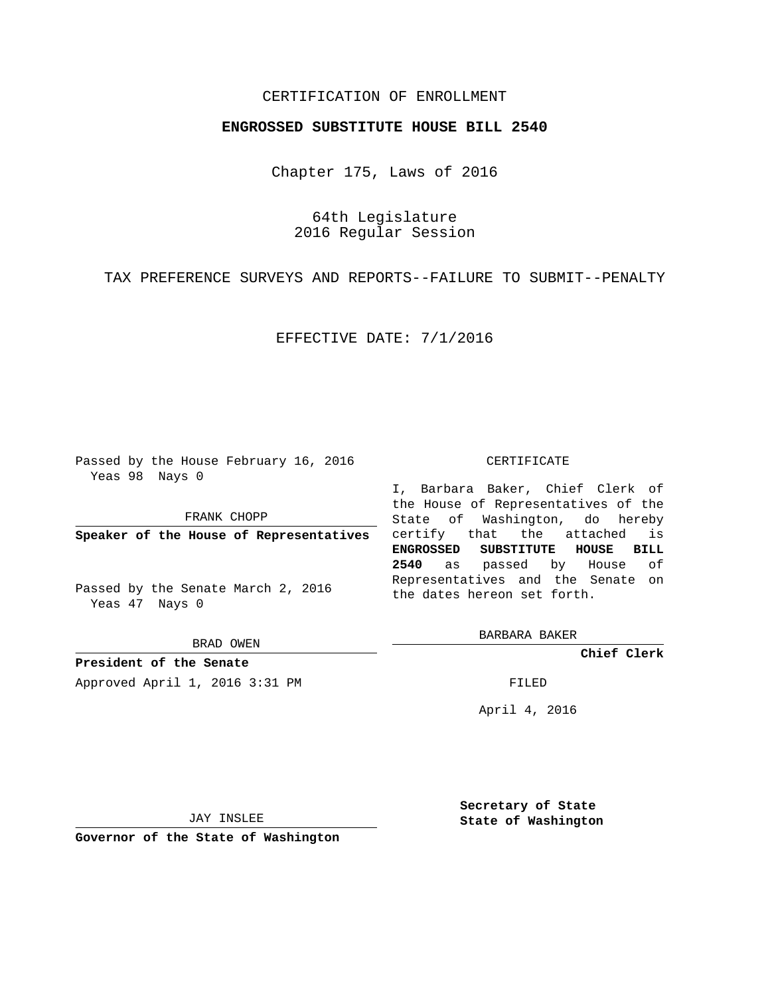# CERTIFICATION OF ENROLLMENT

### **ENGROSSED SUBSTITUTE HOUSE BILL 2540**

Chapter 175, Laws of 2016

64th Legislature 2016 Regular Session

TAX PREFERENCE SURVEYS AND REPORTS--FAILURE TO SUBMIT--PENALTY

EFFECTIVE DATE: 7/1/2016

Passed by the House February 16, 2016 Yeas 98 Nays 0

FRANK CHOPP

**Speaker of the House of Representatives**

Passed by the Senate March 2, 2016 Yeas 47 Nays 0

BRAD OWEN

**President of the Senate** Approved April 1, 2016 3:31 PM FILED

#### CERTIFICATE

I, Barbara Baker, Chief Clerk of the House of Representatives of the State of Washington, do hereby certify that the attached is **ENGROSSED SUBSTITUTE HOUSE BILL 2540** as passed by House of Representatives and the Senate on the dates hereon set forth.

BARBARA BAKER

**Chief Clerk**

April 4, 2016

JAY INSLEE

**Governor of the State of Washington**

**Secretary of State State of Washington**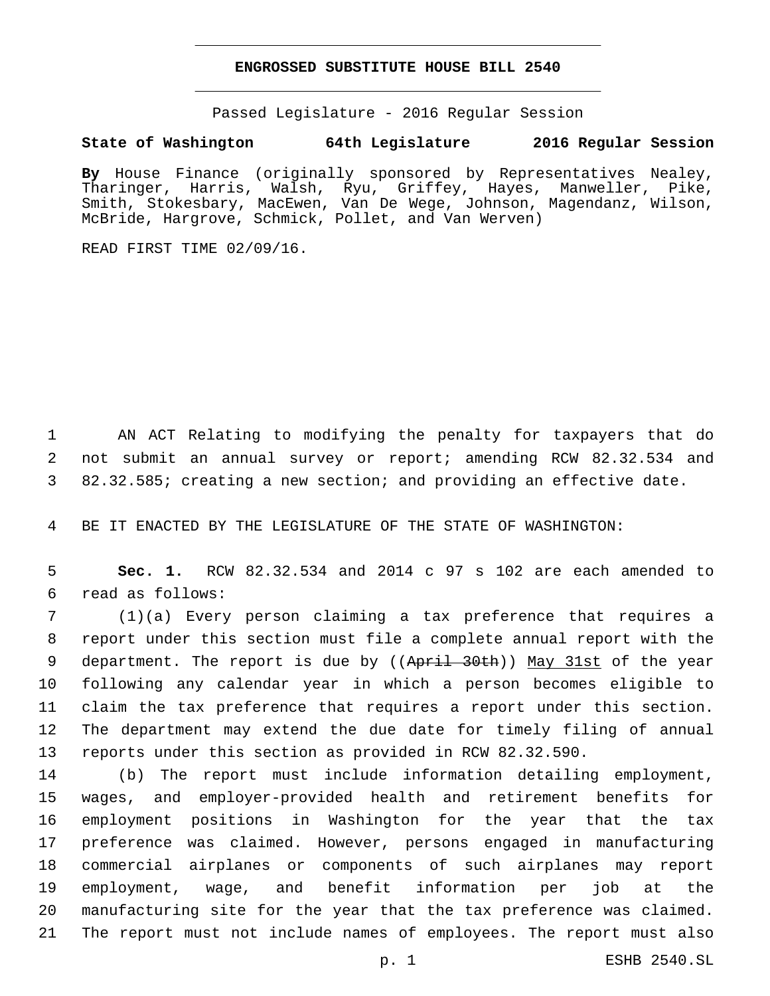### **ENGROSSED SUBSTITUTE HOUSE BILL 2540**

Passed Legislature - 2016 Regular Session

## **State of Washington 64th Legislature 2016 Regular Session**

**By** House Finance (originally sponsored by Representatives Nealey, Tharinger, Harris, Walsh, Ryu, Griffey, Hayes, Manweller, Pike, Smith, Stokesbary, MacEwen, Van De Wege, Johnson, Magendanz, Wilson, McBride, Hargrove, Schmick, Pollet, and Van Werven)

READ FIRST TIME 02/09/16.

 AN ACT Relating to modifying the penalty for taxpayers that do not submit an annual survey or report; amending RCW 82.32.534 and 82.32.585; creating a new section; and providing an effective date.

BE IT ENACTED BY THE LEGISLATURE OF THE STATE OF WASHINGTON:

 **Sec. 1.** RCW 82.32.534 and 2014 c 97 s 102 are each amended to read as follows:6

 (1)(a) Every person claiming a tax preference that requires a report under this section must file a complete annual report with the 9 department. The report is due by ((April 30th)) May 31st of the year following any calendar year in which a person becomes eligible to claim the tax preference that requires a report under this section. The department may extend the due date for timely filing of annual reports under this section as provided in RCW 82.32.590.

 (b) The report must include information detailing employment, wages, and employer-provided health and retirement benefits for employment positions in Washington for the year that the tax preference was claimed. However, persons engaged in manufacturing commercial airplanes or components of such airplanes may report employment, wage, and benefit information per job at the manufacturing site for the year that the tax preference was claimed. The report must not include names of employees. The report must also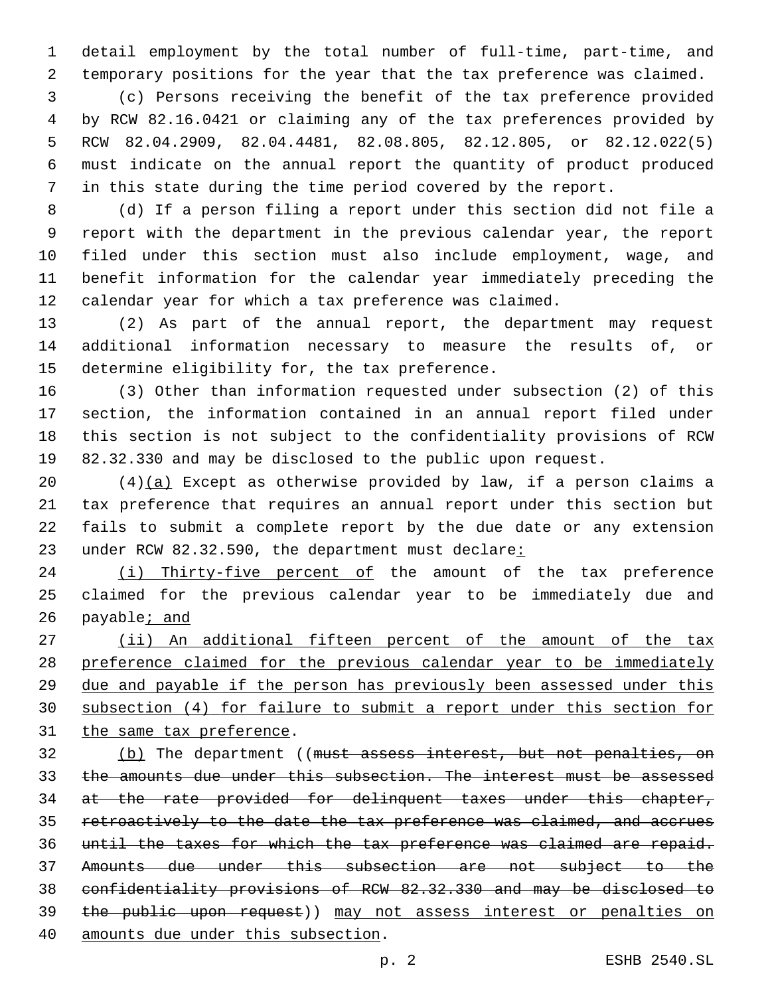detail employment by the total number of full-time, part-time, and temporary positions for the year that the tax preference was claimed.

 (c) Persons receiving the benefit of the tax preference provided by RCW 82.16.0421 or claiming any of the tax preferences provided by RCW 82.04.2909, 82.04.4481, 82.08.805, 82.12.805, or 82.12.022(5) 6 must indicate on the annual report the quantity of product produced in this state during the time period covered by the report.

 (d) If a person filing a report under this section did not file a report with the department in the previous calendar year, the report filed under this section must also include employment, wage, and benefit information for the calendar year immediately preceding the calendar year for which a tax preference was claimed.

 (2) As part of the annual report, the department may request additional information necessary to measure the results of, or 15 determine eligibility for, the tax preference.

 (3) Other than information requested under subsection (2) of this section, the information contained in an annual report filed under this section is not subject to the confidentiality provisions of RCW 82.32.330 and may be disclosed to the public upon request.

 $(4)(a)$  Except as otherwise provided by law, if a person claims a tax preference that requires an annual report under this section but fails to submit a complete report by the due date or any extension 23 under RCW 82.32.590, the department must declare:

24 (i) Thirty-five percent of the amount of the tax preference claimed for the previous calendar year to be immediately due and payable; and

27 (ii) An additional fifteen percent of the amount of the tax preference claimed for the previous calendar year to be immediately due and payable if the person has previously been assessed under this subsection (4) for failure to submit a report under this section for 31 the same tax preference.

32 (b) The department ((must assess interest, but not penalties, on the amounts due under this subsection. The interest must be assessed at the rate provided for delinquent taxes under this chapter, retroactively to the date the tax preference was claimed, and accrues until the taxes for which the tax preference was claimed are repaid. Amounts due under this subsection are not subject to the confidentiality provisions of RCW 82.32.330 and may be disclosed to the public upon request)) may not assess interest or penalties on 40 amounts due under this subsection.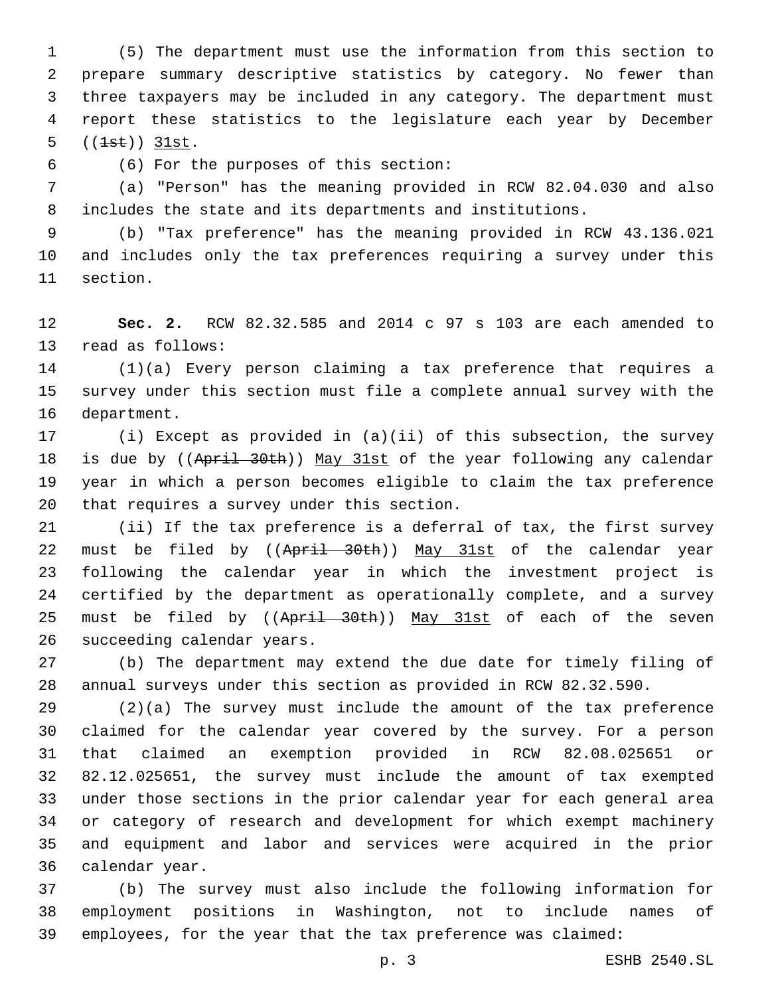(5) The department must use the information from this section to prepare summary descriptive statistics by category. No fewer than three taxpayers may be included in any category. The department must report these statistics to the legislature each year by December  $((1st)) 31st.$ 

(6) For the purposes of this section:6

 (a) "Person" has the meaning provided in RCW 82.04.030 and also includes the state and its departments and institutions.

 (b) "Tax preference" has the meaning provided in RCW 43.136.021 and includes only the tax preferences requiring a survey under this 11 section.

 **Sec. 2.** RCW 82.32.585 and 2014 c 97 s 103 are each amended to 13 read as follows:

 (1)(a) Every person claiming a tax preference that requires a survey under this section must file a complete annual survey with the 16 department.

 (i) Except as provided in (a)(ii) of this subsection, the survey 18 is due by ((April 30th)) May 31st of the year following any calendar year in which a person becomes eligible to claim the tax preference 20 that requires a survey under this section.

 (ii) If the tax preference is a deferral of tax, the first survey 22 must be filed by ((April 30th)) May 31st of the calendar year following the calendar year in which the investment project is certified by the department as operationally complete, and a survey 25 must be filed by ((April 30th)) May 31st of each of the seven 26 succeeding calendar years.

 (b) The department may extend the due date for timely filing of annual surveys under this section as provided in RCW 82.32.590.

 (2)(a) The survey must include the amount of the tax preference claimed for the calendar year covered by the survey. For a person that claimed an exemption provided in RCW 82.08.025651 or 82.12.025651, the survey must include the amount of tax exempted under those sections in the prior calendar year for each general area or category of research and development for which exempt machinery and equipment and labor and services were acquired in the prior 36 calendar year.

 (b) The survey must also include the following information for employment positions in Washington, not to include names of employees, for the year that the tax preference was claimed: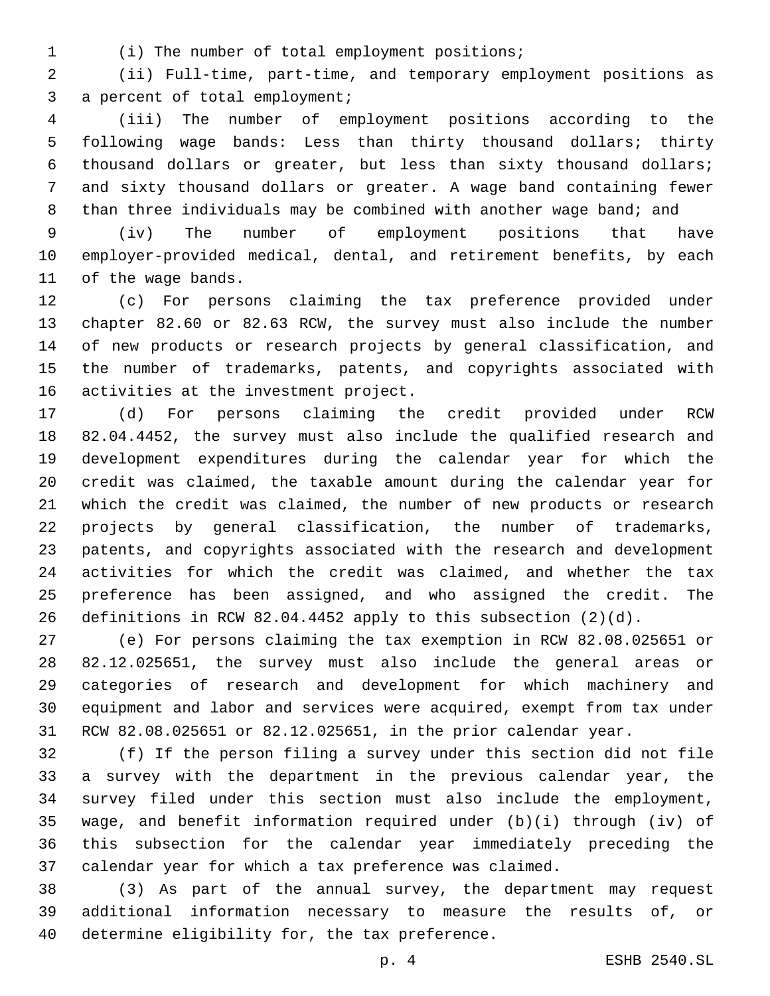(i) The number of total employment positions;1

 (ii) Full-time, part-time, and temporary employment positions as 3 a percent of total employment;

 (iii) The number of employment positions according to the following wage bands: Less than thirty thousand dollars; thirty thousand dollars or greater, but less than sixty thousand dollars; and sixty thousand dollars or greater. A wage band containing fewer 8 than three individuals may be combined with another wage band; and

 (iv) The number of employment positions that have employer-provided medical, dental, and retirement benefits, by each 11 of the wage bands.

 (c) For persons claiming the tax preference provided under chapter 82.60 or 82.63 RCW, the survey must also include the number of new products or research projects by general classification, and the number of trademarks, patents, and copyrights associated with 16 activities at the investment project.

 (d) For persons claiming the credit provided under RCW 82.04.4452, the survey must also include the qualified research and development expenditures during the calendar year for which the credit was claimed, the taxable amount during the calendar year for which the credit was claimed, the number of new products or research projects by general classification, the number of trademarks, patents, and copyrights associated with the research and development activities for which the credit was claimed, and whether the tax preference has been assigned, and who assigned the credit. The definitions in RCW 82.04.4452 apply to this subsection (2)(d).

 (e) For persons claiming the tax exemption in RCW 82.08.025651 or 82.12.025651, the survey must also include the general areas or categories of research and development for which machinery and equipment and labor and services were acquired, exempt from tax under RCW 82.08.025651 or 82.12.025651, in the prior calendar year.

 (f) If the person filing a survey under this section did not file a survey with the department in the previous calendar year, the survey filed under this section must also include the employment, wage, and benefit information required under (b)(i) through (iv) of this subsection for the calendar year immediately preceding the calendar year for which a tax preference was claimed.

 (3) As part of the annual survey, the department may request additional information necessary to measure the results of, or 40 determine eligibility for, the tax preference.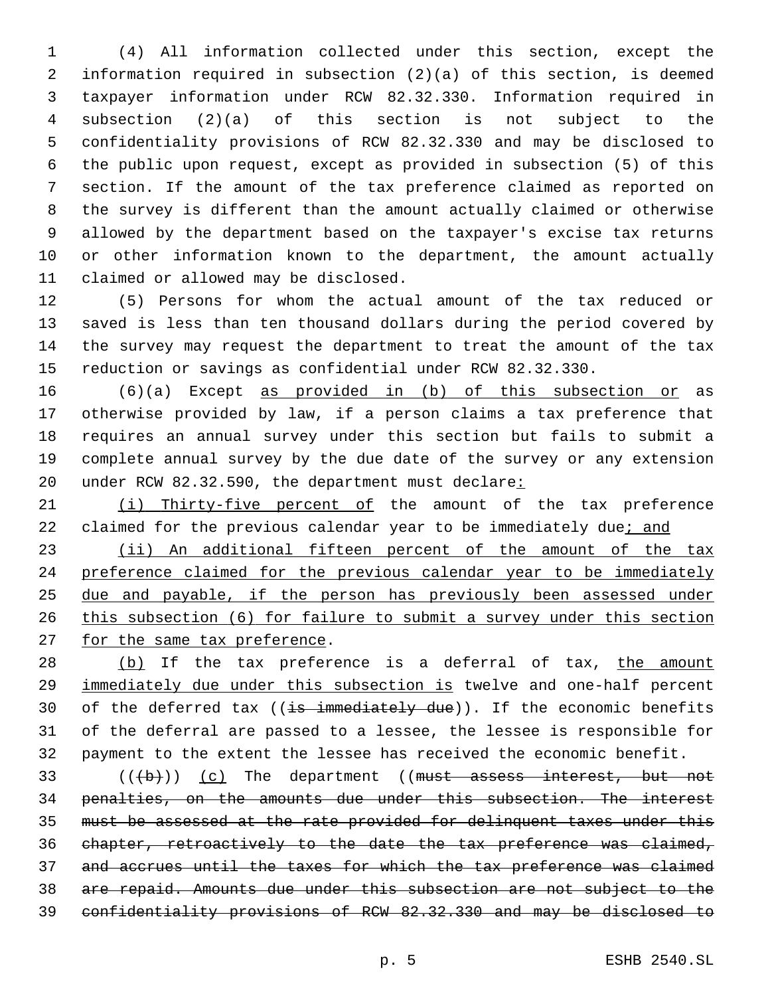(4) All information collected under this section, except the information required in subsection (2)(a) of this section, is deemed taxpayer information under RCW 82.32.330. Information required in subsection (2)(a) of this section is not subject to the confidentiality provisions of RCW 82.32.330 and may be disclosed to the public upon request, except as provided in subsection (5) of this section. If the amount of the tax preference claimed as reported on the survey is different than the amount actually claimed or otherwise allowed by the department based on the taxpayer's excise tax returns or other information known to the department, the amount actually 11 claimed or allowed may be disclosed.

 (5) Persons for whom the actual amount of the tax reduced or saved is less than ten thousand dollars during the period covered by the survey may request the department to treat the amount of the tax reduction or savings as confidential under RCW 82.32.330.

 (6)(a) Except as provided in (b) of this subsection or as otherwise provided by law, if a person claims a tax preference that requires an annual survey under this section but fails to submit a complete annual survey by the due date of the survey or any extension 20 under RCW 82.32.590, the department must declare:

21 (i) Thirty-five percent of the amount of the tax preference 22 claimed for the previous calendar year to be immediately due; and

23 (ii) An additional fifteen percent of the amount of the tax preference claimed for the previous calendar year to be immediately due and payable, if the person has previously been assessed under this subsection (6) for failure to submit a survey under this section 27 for the same tax preference.

28 (b) If the tax preference is a deferral of tax, the amount immediately due under this subsection is twelve and one-half percent 30 of the deferred tax ( $(i\texttt{s}-i\texttt{mmediately}-due)$ ). If the economic benefits of the deferral are passed to a lessee, the lessee is responsible for payment to the extent the lessee has received the economic benefit.

 $((+b))$  (c) The department ((must assess interest, but not penalties, on the amounts due under this subsection. The interest must be assessed at the rate provided for delinquent taxes under this chapter, retroactively to the date the tax preference was claimed, and accrues until the taxes for which the tax preference was claimed are repaid. Amounts due under this subsection are not subject to the confidentiality provisions of RCW 82.32.330 and may be disclosed to